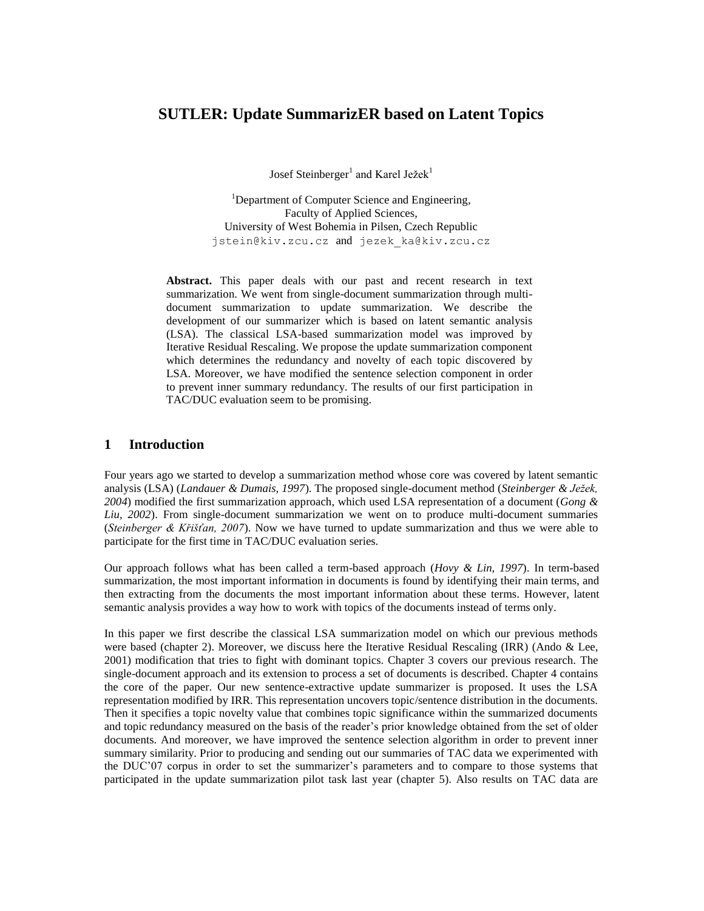# **SUTLER: Update SummarizER based on Latent Topics**

Josef Steinberger<sup>1</sup> and Karel Ježek<sup>1</sup>

<sup>1</sup>Department of Computer Science and Engineering, Faculty of Applied Sciences, University of West Bohemia in Pilsen, Czech Republic jstein@kiv.zcu.cz and jezek\_ka@kiv.zcu.cz

**Abstract.** This paper deals with our past and recent research in text summarization. We went from single-document summarization through multidocument summarization to update summarization. We describe the development of our summarizer which is based on latent semantic analysis (LSA). The classical LSA-based summarization model was improved by Iterative Residual Rescaling. We propose the update summarization component which determines the redundancy and novelty of each topic discovered by LSA. Moreover, we have modified the sentence selection component in order to prevent inner summary redundancy. The results of our first participation in TAC/DUC evaluation seem to be promising.

## **1 Introduction**

Four years ago we started to develop a summarization method whose core was covered by latent semantic analysis (LSA) (*Landauer & Dumais, 1997*). The proposed single-document method (*Steinberger & Ježek, 2004*) modified the first summarization approach, which used LSA representation of a document (*Gong & Liu, 2002*). From single-document summarization we went on to produce multi-document summaries (*Steinberger & Křišťan, 2007*). Now we have turned to update summarization and thus we were able to participate for the first time in TAC/DUC evaluation series.

Our approach follows what has been called a term-based approach (*Hovy & Lin, 1997*). In term-based summarization, the most important information in documents is found by identifying their main terms, and then extracting from the documents the most important information about these terms. However, latent semantic analysis provides a way how to work with topics of the documents instead of terms only.

In this paper we first describe the classical LSA summarization model on which our previous methods were based (chapter 2). Moreover, we discuss here the Iterative Residual Rescaling (IRR) (Ando & Lee, 2001) modification that tries to fight with dominant topics. Chapter 3 covers our previous research. The single-document approach and its extension to process a set of documents is described. Chapter 4 contains the core of the paper. Our new sentence-extractive update summarizer is proposed. It uses the LSA representation modified by IRR. This representation uncovers topic/sentence distribution in the documents. Then it specifies a topic novelty value that combines topic significance within the summarized documents and topic redundancy measured on the basis of the reader's prior knowledge obtained from the set of older documents. And moreover, we have improved the sentence selection algorithm in order to prevent inner summary similarity. Prior to producing and sending out our summaries of TAC data we experimented with the DUC"07 corpus in order to set the summarizer"s parameters and to compare to those systems that participated in the update summarization pilot task last year (chapter 5). Also results on TAC data are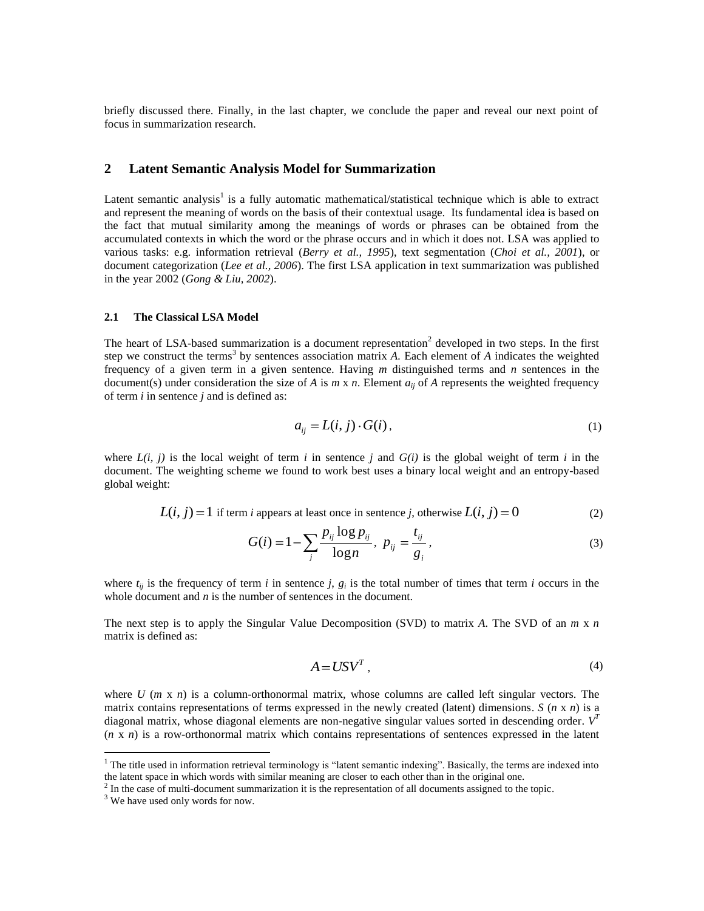briefly discussed there. Finally, in the last chapter, we conclude the paper and reveal our next point of focus in summarization research.

### **2 Latent Semantic Analysis Model for Summarization**

Latent semantic analysis<sup>1</sup> is a fully automatic mathematical/statistical technique which is able to extract and represent the meaning of words on the basis of their contextual usage. Its fundamental idea is based on the fact that mutual similarity among the meanings of words or phrases can be obtained from the accumulated contexts in which the word or the phrase occurs and in which it does not. LSA was applied to various tasks: e.g. information retrieval (*Berry et al., 1995*), text segmentation (*Choi et al., 2001*), or document categorization (*Lee et al., 2006*). The first LSA application in text summarization was published in the year 2002 (*Gong & Liu, 2002*).

### **2.1 The Classical LSA Model**

The heart of LSA-based summarization is a document representation<sup>2</sup> developed in two steps. In the first step we construct the terms<sup>3</sup> by sentences association matrix  $A$ . Each element of  $A$  indicates the weighted frequency of a given term in a given sentence. Having *m* distinguished terms and *n* sentences in the document(s) under consideration the size of *A* is  $m \times n$ . Element  $a_{ii}$  of *A* represents the weighted frequency of term *i* in sentence *j* and is defined as:

$$
a_{ij} = L(i, j) \cdot G(i), \tag{1}
$$

where  $L(i, j)$  is the local weight of term *i* in sentence *j* and  $G(i)$  is the global weight of term *i* in the document. The weighting scheme we found to work best uses a binary local weight and an entropy-based global weight:

$$
L(i, j) = 1
$$
 if term *i* appears at least once in sentence *j*, otherwise  $L(i, j) = 0$  (2)

$$
G(i) = 1 - \sum_{j} \frac{p_{ij} \log p_{ij}}{\log n}, \ p_{ij} = \frac{t_{ij}}{g_{i}}, \tag{3}
$$

where  $t_{ij}$  is the frequency of term *i* in sentence *j*,  $g_i$  is the total number of times that term *i* occurs in the whole document and *n* is the number of sentences in the document.

The next step is to apply the Singular Value Decomposition (SVD) to matrix *A*. The SVD of an *m* x *n* matrix is defined as:

$$
A = USV^T, \tag{4}
$$

where *U* (*m* x *n*) is a column-orthonormal matrix, whose columns are called left singular vectors. The matrix contains representations of terms expressed in the newly created (latent) dimensions.  $S(n \times n)$  is a diagonal matrix, whose diagonal elements are non-negative singular values sorted in descending order. V<sup>T</sup> (*n* x *n*) is a row-orthonormal matrix which contains representations of sentences expressed in the latent

<u>.</u>

 $<sup>1</sup>$  The title used in information retrieval terminology is "latent semantic indexing". Basically, the terms are indexed into</sup> the latent space in which words with similar meaning are closer to each other than in the original one.

<sup>&</sup>lt;sup>2</sup> In the case of multi-document summarization it is the representation of all documents assigned to the topic.

 $3$  We have used only words for now.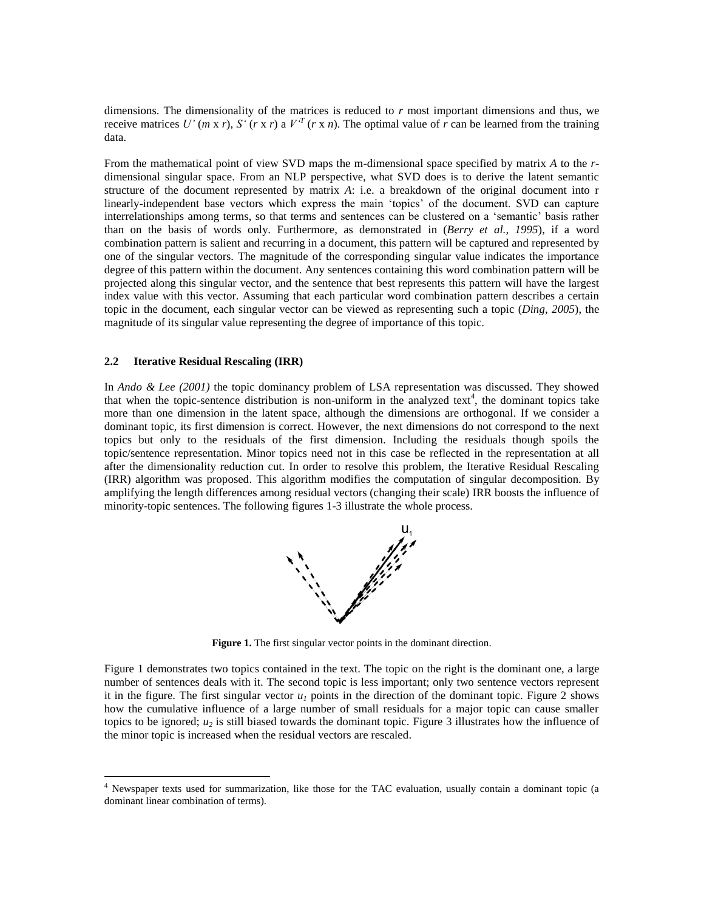dimensions. The dimensionality of the matrices is reduced to *r* most important dimensions and thus, we receive matrices *U'* (*m* x *r*), *S'* (*r* x *r*) a  $V<sup>T</sup>$  (*r* x *n*). The optimal value of *r* can be learned from the training data.

From the mathematical point of view SVD maps the m-dimensional space specified by matrix *A* to the *r*dimensional singular space. From an NLP perspective, what SVD does is to derive the latent semantic structure of the document represented by matrix *A*: i.e. a breakdown of the original document into r linearly-independent base vectors which express the main "topics" of the document. SVD can capture interrelationships among terms, so that terms and sentences can be clustered on a "semantic" basis rather than on the basis of words only. Furthermore, as demonstrated in (*Berry et al., 1995*), if a word combination pattern is salient and recurring in a document, this pattern will be captured and represented by one of the singular vectors. The magnitude of the corresponding singular value indicates the importance degree of this pattern within the document. Any sentences containing this word combination pattern will be projected along this singular vector, and the sentence that best represents this pattern will have the largest index value with this vector. Assuming that each particular word combination pattern describes a certain topic in the document, each singular vector can be viewed as representing such a topic (*Ding, 2005*), the magnitude of its singular value representing the degree of importance of this topic.

#### **2.2 Iterative Residual Rescaling (IRR)**

1

In *Ando & Lee (2001)* the topic dominancy problem of LSA representation was discussed. They showed that when the topic-sentence distribution is non-uniform in the analyzed text<sup>4</sup>, the dominant topics take more than one dimension in the latent space, although the dimensions are orthogonal. If we consider a dominant topic, its first dimension is correct. However, the next dimensions do not correspond to the next topics but only to the residuals of the first dimension. Including the residuals though spoils the topic/sentence representation. Minor topics need not in this case be reflected in the representation at all after the dimensionality reduction cut. In order to resolve this problem, the Iterative Residual Rescaling (IRR) algorithm was proposed. This algorithm modifies the computation of singular decomposition. By amplifying the length differences among residual vectors (changing their scale) IRR boosts the influence of minority-topic sentences. The following figures 1-3 illustrate the whole process.



**Figure 1.** The first singular vector points in the dominant direction.

Figure 1 demonstrates two topics contained in the text. The topic on the right is the dominant one, a large number of sentences deals with it. The second topic is less important; only two sentence vectors represent it in the figure. The first singular vector  $u_1$  points in the direction of the dominant topic. Figure 2 shows how the cumulative influence of a large number of small residuals for a major topic can cause smaller topics to be ignored;  $u_2$  is still biased towards the dominant topic. Figure 3 illustrates how the influence of the minor topic is increased when the residual vectors are rescaled.

<sup>4</sup> Newspaper texts used for summarization, like those for the TAC evaluation, usually contain a dominant topic (a dominant linear combination of terms).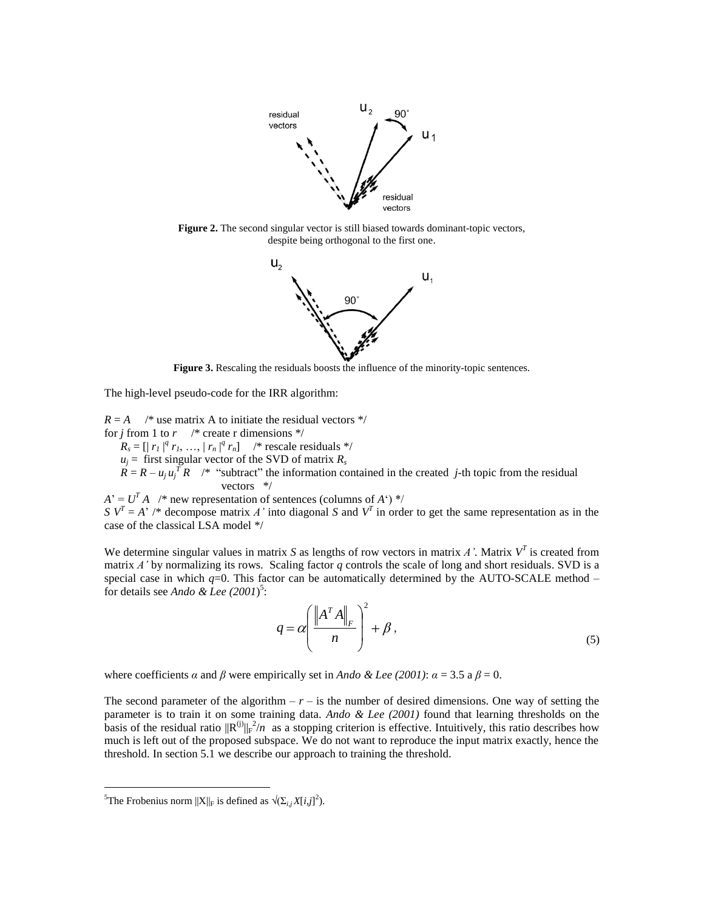

**Figure 2.** The second singular vector is still biased towards dominant-topic vectors, despite being orthogonal to the first one.



**Figure 3.** Rescaling the residuals boosts the influence of the minority-topic sentences.

The high-level pseudo-code for the IRR algorithm:

 $R = A$  /\* use matrix A to initiate the residual vectors \*/ for *j* from 1 to  $r$  /\* create r dimensions \*/  $R_s = [ |r_1|^q r_1, ..., |r_n|^q r_n ]$  /\* rescale residuals \*/  $u_j$  = first singular vector of the SVD of matrix  $R_s$  $R = R - u_j u_j^T R$  /\* "subtract" the information contained in the created *j*-th topic from the residual vectors \*/

 $A^{\prime} = U^T A$  /\* new representation of sentences (columns of *A*) \*/ *S*  $V^T = A^7$  /\* decompose matrix *A'* into diagonal *S* and  $V^T$  in order to get the same representation as in the case of the classical LSA model \*/

We determine singular values in matrix *S* as lengths of row vectors in matrix *A'*. Matrix  $V^T$  is created from matrix *A'* by normalizing its rows. Scaling factor *q* controls the scale of long and short residuals. SVD is a special case in which  $q=0$ . This factor can be automatically determined by the AUTO-SCALE method – for details see *Ando & Lee (2001*) 5 :

$$
q = \alpha \left( \frac{\left\| A^T A \right\|_F}{n} \right)^2 + \beta \,, \tag{5}
$$

where coefficients *α* and *β* were empirically set in *Ando & Lee (2001)*:  $\alpha = 3.5$  a  $\beta = 0$ .

The second parameter of the algorithm  $- r -$  is the number of desired dimensions. One way of setting the parameter is to train it on some training data. *Ando & Lee (2001)* found that learning thresholds on the basis of the residual ratio  $\|R^{(j)}\|_F^2/n$  as a stopping criterion is effective. Intuitively, this ratio describes how much is left out of the proposed subspace. We do not want to reproduce the input matrix exactly, hence the threshold. In section 5.1 we describe our approach to training the threshold.

<u>.</u>

<sup>&</sup>lt;sup>5</sup>The Frobenius norm  $||X||_F$  is defined as  $\sqrt{\left(\sum_{i,j} X[i,j]\right)^2}$ ).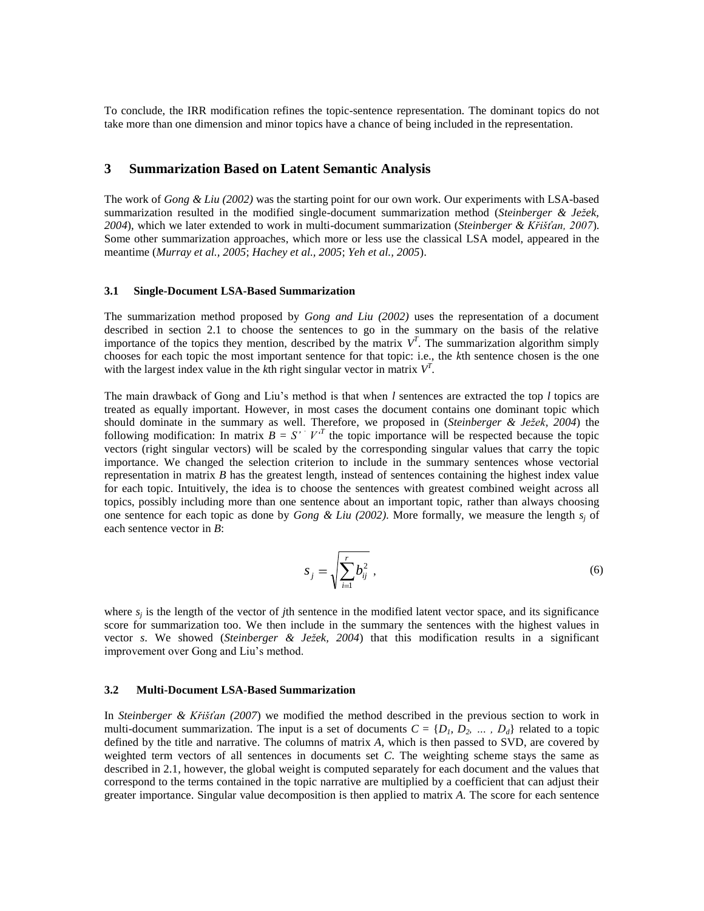To conclude, the IRR modification refines the topic-sentence representation. The dominant topics do not take more than one dimension and minor topics have a chance of being included in the representation.

### **3 Summarization Based on Latent Semantic Analysis**

The work of *Gong & Liu (2002)* was the starting point for our own work. Our experiments with LSA-based summarization resulted in the modified single-document summarization method (*Steinberger & Ježek, 2004*), which we later extended to work in multi-document summarization (*Steinberger & Křišťan, 2007*). Some other summarization approaches, which more or less use the classical LSA model, appeared in the meantime (*Murray et al., 2005*; *Hachey et al., 2005*; *Yeh et al., 2005*).

#### **3.1 Single-Document LSA-Based Summarization**

The summarization method proposed by *Gong and Liu (2002)* uses the representation of a document described in section 2.1 to choose the sentences to go in the summary on the basis of the relative importance of the topics they mention, described by the matrix  $V<sup>T</sup>$ . The summarization algorithm simply chooses for each topic the most important sentence for that topic: i.e., the *k*th sentence chosen is the one with the largest index value in the  $k$ th right singular vector in matrix  $V<sup>T</sup>$ .

The main drawback of Gong and Liu"s method is that when *l* sentences are extracted the top *l* topics are treated as equally important. However, in most cases the document contains one dominant topic which should dominate in the summary as well. Therefore, we proposed in (*Steinberger & Ježek, 2004*) the following modification: In matrix  $B = S' \cdot V^T$  the topic importance will be respected because the topic vectors (right singular vectors) will be scaled by the corresponding singular values that carry the topic importance. We changed the selection criterion to include in the summary sentences whose vectorial representation in matrix *B* has the greatest length, instead of sentences containing the highest index value for each topic. Intuitively, the idea is to choose the sentences with greatest combined weight across all topics, possibly including more than one sentence about an important topic, rather than always choosing one sentence for each topic as done by *Gong & Liu* (2002). More formally, we measure the length  $s_i$  of each sentence vector in *B*:

$$
S_j = \sqrt{\sum_{i=1}^r b_{ij}^2} \ , \tag{6}
$$

where  $s_j$  is the length of the vector of *j*th sentence in the modified latent vector space, and its significance score for summarization too. We then include in the summary the sentences with the highest values in vector *s*. We showed (*Steinberger & Ježek, 2004*) that this modification results in a significant improvement over Gong and Liu"s method.

#### **3.2 Multi-Document LSA-Based Summarization**

In *Steinberger & Křišťan (2007*) we modified the method described in the previous section to work in multi-document summarization. The input is a set of documents  $C = \{D_1, D_2, ..., D_d\}$  related to a topic defined by the title and narrative. The columns of matrix *A*, which is then passed to SVD, are covered by weighted term vectors of all sentences in documents set *C*. The weighting scheme stays the same as described in 2.1, however, the global weight is computed separately for each document and the values that correspond to the terms contained in the topic narrative are multiplied by a coefficient that can adjust their greater importance. Singular value decomposition is then applied to matrix *A.* The score for each sentence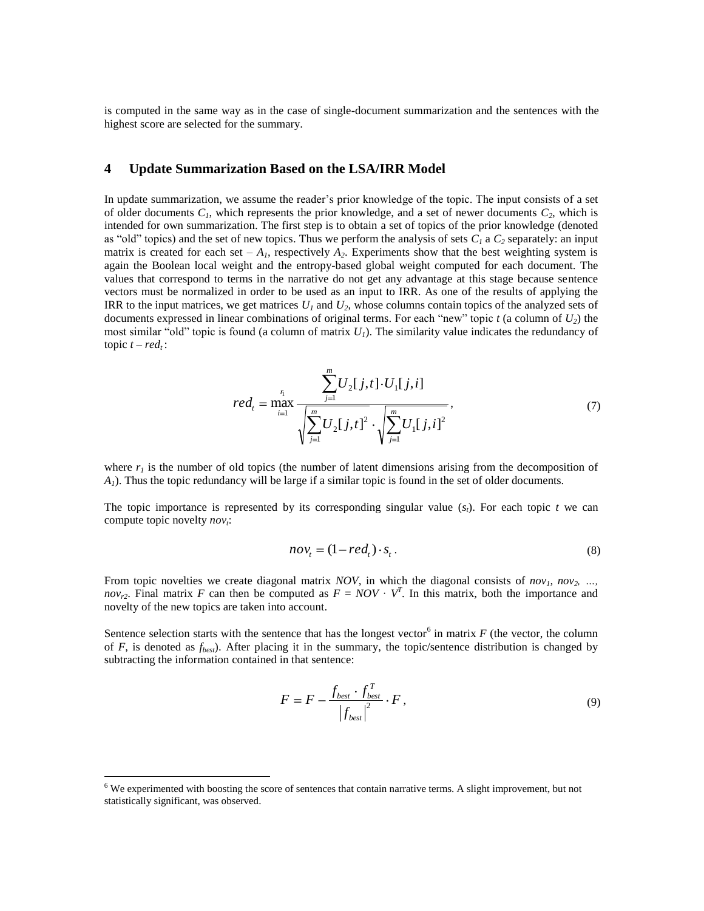is computed in the same way as in the case of single-document summarization and the sentences with the highest score are selected for the summary.

### **4 Update Summarization Based on the LSA/IRR Model**

In update summarization, we assume the reader"s prior knowledge of the topic. The input consists of a set of older documents  $C<sub>1</sub>$ , which represents the prior knowledge, and a set of newer documents  $C<sub>2</sub>$ , which is intended for own summarization. The first step is to obtain a set of topics of the prior knowledge (denoted as "old" topics) and the set of new topics. Thus we perform the analysis of sets  $C_I$  a  $C_2$  separately: an input matrix is created for each set –  $A<sub>1</sub>$ , respectively  $A<sub>2</sub>$ . Experiments show that the best weighting system is again the Boolean local weight and the entropy-based global weight computed for each document. The values that correspond to terms in the narrative do not get any advantage at this stage because sentence vectors must be normalized in order to be used as an input to IRR. As one of the results of applying the IRR to the input matrices, we get matrices *U<sup>1</sup>* and *U2*, whose columns contain topics of the analyzed sets of documents expressed in linear combinations of original terms. For each "new" topic  $t$  (a column of  $U_2$ ) the most similar "old" topic is found (a column of matrix *U1*). The similarity value indicates the redundancy of topic  $t - red_t$ :

$$
red_{t} = \max_{i=1}^{n} \frac{\sum_{j=1}^{m} U_{2}[j,t] \cdot U_{1}[j,i]}{\sqrt{\sum_{j=1}^{m} U_{2}[j,t]^{2} \cdot \sqrt{\sum_{j=1}^{m} U_{1}[j,i]^{2}}},
$$
\n(7)

where  $r<sub>l</sub>$  is the number of old topics (the number of latent dimensions arising from the decomposition of  $A<sub>1</sub>$ ). Thus the topic redundancy will be large if a similar topic is found in the set of older documents.

The topic importance is represented by its corresponding singular value  $(s_t)$ . For each topic *t* we can compute topic novelty *nov<sup>t</sup>* :

$$
nov_t = (1 - red_t) \cdot s_t. \tag{8}
$$

From topic novelties we create diagonal matrix *NOV*, in which the diagonal consists of  $nov_1$ ,  $nov_2$ , ... *nov*<sub>r2</sub>. Final matrix *F* can then be computed as  $F = NOV \cdot V^T$ . In this matrix, both the importance and novelty of the new topics are taken into account.

Sentence selection starts with the sentence that has the longest vector<sup>6</sup> in matrix  $F$  (the vector, the column of *F*, is denoted as  $f_{best}$ ). After placing it in the summary, the topic/sentence distribution is changed by subtracting the information contained in that sentence:

$$
F = F - \frac{f_{best} \cdot f_{best}^T}{|f_{best}|^2} \cdot F,
$$
\n(9)

1

<sup>&</sup>lt;sup>6</sup> We experimented with boosting the score of sentences that contain narrative terms. A slight improvement, but not statistically significant, was observed.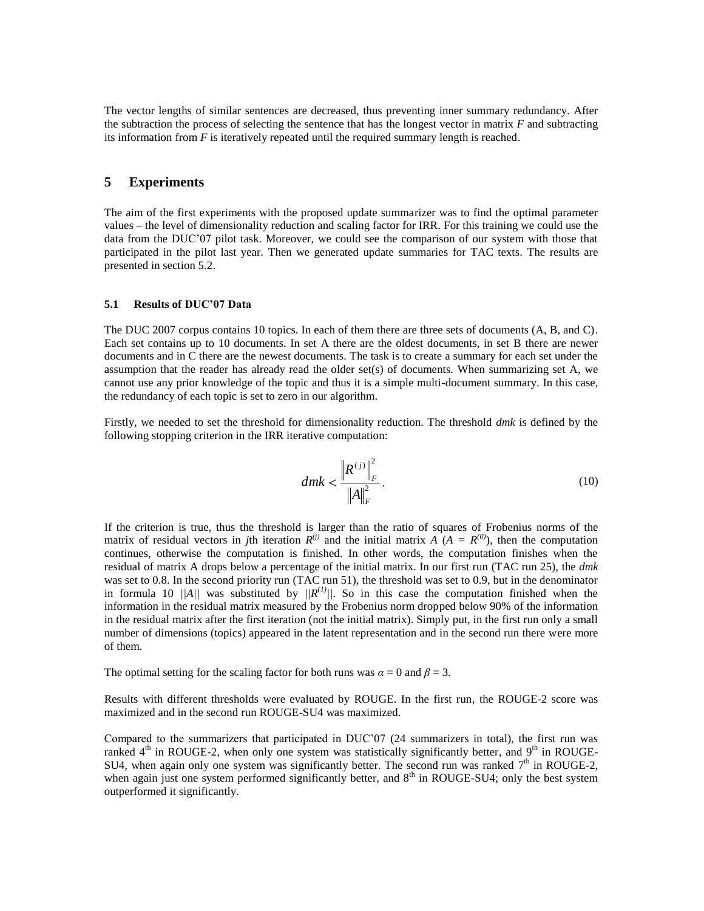The vector lengths of similar sentences are decreased, thus preventing inner summary redundancy. After the subtraction the process of selecting the sentence that has the longest vector in matrix *F* and subtracting its information from *F* is iteratively repeated until the required summary length is reached.

## **5 Experiments**

The aim of the first experiments with the proposed update summarizer was to find the optimal parameter values – the level of dimensionality reduction and scaling factor for IRR. For this training we could use the data from the DUC"07 pilot task. Moreover, we could see the comparison of our system with those that participated in the pilot last year. Then we generated update summaries for TAC texts. The results are presented in section 5.2.

### **5.1 Results of DUC'07 Data**

The DUC 2007 corpus contains 10 topics. In each of them there are three sets of documents (A, B, and C). Each set contains up to 10 documents. In set A there are the oldest documents, in set B there are newer documents and in C there are the newest documents. The task is to create a summary for each set under the assumption that the reader has already read the older set(s) of documents. When summarizing set A, we cannot use any prior knowledge of the topic and thus it is a simple multi-document summary. In this case, the redundancy of each topic is set to zero in our algorithm.

Firstly, we needed to set the threshold for dimensionality reduction. The threshold *dmk* is defined by the following stopping criterion in the IRR iterative computation:

$$
dmk < \frac{\left\| R^{(j)} \right\|_{F}^{2}}{\left\| A \right\|_{F}^{2}}.
$$
 (10)

If the criterion is true, thus the threshold is larger than the ratio of squares of Frobenius norms of the matrix of residual vectors in *j*th iteration  $R^{(j)}$  and the initial matrix  $\hat{A} (A = R^{(0)})$ , then the computation continues, otherwise the computation is finished. In other words, the computation finishes when the residual of matrix A drops below a percentage of the initial matrix. In our first run (TAC run 25), the *dmk* was set to 0.8. In the second priority run (TAC run 51), the threshold was set to 0.9, but in the denominator in formula 10 *||A||* was substituted by  $\frac{1}{R^{(1)}}$ . So in this case the computation finished when the information in the residual matrix measured by the Frobenius norm dropped below 90% of the information in the residual matrix after the first iteration (not the initial matrix). Simply put, in the first run only a small number of dimensions (topics) appeared in the latent representation and in the second run there were more of them.

The optimal setting for the scaling factor for both runs was  $\alpha = 0$  and  $\beta = 3$ .

Results with different thresholds were evaluated by ROUGE. In the first run, the ROUGE-2 score was maximized and in the second run ROUGE-SU4 was maximized.

Compared to the summarizers that participated in DUC"07 (24 summarizers in total), the first run was ranked  $4<sup>th</sup>$  in ROUGE-2, when only one system was statistically significantly better, and  $9<sup>th</sup>$  in ROUGE-SU4, when again only one system was significantly better. The second run was ranked  $7<sup>th</sup>$  in ROUGE-2, when again just one system performed significantly better, and 8<sup>th</sup> in ROUGE-SU4; only the best system outperformed it significantly.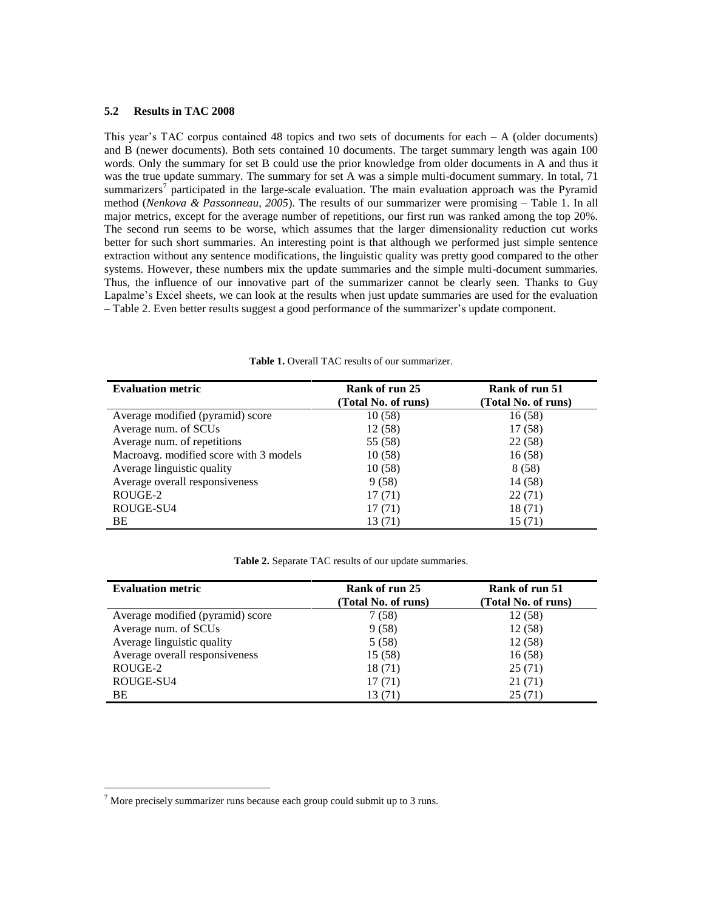### **5.2 Results in TAC 2008**

This year's TAC corpus contained 48 topics and two sets of documents for each  $- A$  (older documents) and B (newer documents). Both sets contained 10 documents. The target summary length was again 100 words. Only the summary for set B could use the prior knowledge from older documents in A and thus it was the true update summary. The summary for set A was a simple multi-document summary. In total, 71 summarizers<sup>7</sup> participated in the large-scale evaluation. The main evaluation approach was the Pyramid method (*Nenkova & Passonneau, 2005*). The results of our summarizer were promising – Table 1. In all major metrics, except for the average number of repetitions, our first run was ranked among the top 20%. The second run seems to be worse, which assumes that the larger dimensionality reduction cut works better for such short summaries. An interesting point is that although we performed just simple sentence extraction without any sentence modifications, the linguistic quality was pretty good compared to the other systems. However, these numbers mix the update summaries and the simple multi-document summaries. Thus, the influence of our innovative part of the summarizer cannot be clearly seen. Thanks to Guy Lapalme"s Excel sheets, we can look at the results when just update summaries are used for the evaluation – Table 2. Even better results suggest a good performance of the summarizer"s update component.

| <b>Evaluation metric</b>               | Rank of run 25<br>(Total No. of runs) | Rank of run 51<br>(Total No. of runs) |
|----------------------------------------|---------------------------------------|---------------------------------------|
| Average modified (pyramid) score       | 10(58)                                | 16(58)                                |
| Average num. of SCUs                   | 12(58)                                | 17(58)                                |
| Average num. of repetitions            | 55 (58)                               | 22(58)                                |
| Macroavg. modified score with 3 models | 10(58)                                | 16(58)                                |
| Average linguistic quality             | 10(58)                                | 8(58)                                 |
| Average overall responsiveness         | 9(58)                                 | 14 (58)                               |
| ROUGE-2                                | 17(71)                                | 22(71)                                |
| ROUGE-SU4                              | 17(71)                                | 18(71)                                |
| BE                                     | 13 (71)                               | 15 (71)                               |

**Table 1.** Overall TAC results of our summarizer.

| <b>Table 2.</b> Separate TAC results of our update summaries. |  |  |  |
|---------------------------------------------------------------|--|--|--|
|---------------------------------------------------------------|--|--|--|

| <b>Evaluation metric</b>         | Rank of run 25<br>(Total No. of runs) | Rank of run 51<br>(Total No. of runs) |
|----------------------------------|---------------------------------------|---------------------------------------|
| Average modified (pyramid) score | 7(58)                                 | 12(58)                                |
| Average num. of SCUs             | 9(58)                                 | 12(58)                                |
| Average linguistic quality       | 5(58)                                 | 12(58)                                |
| Average overall responsiveness   | 15(58)                                | 16(58)                                |
| ROUGE-2                          | 18(71)                                | 25(71)                                |
| ROUGE-SU4                        | 17(71)                                | 21 (71)                               |
| BE                               | 13 (71)                               | 25(71)                                |

<u>.</u>

 $<sup>7</sup>$  More precisely summarizer runs because each group could submit up to 3 runs.</sup>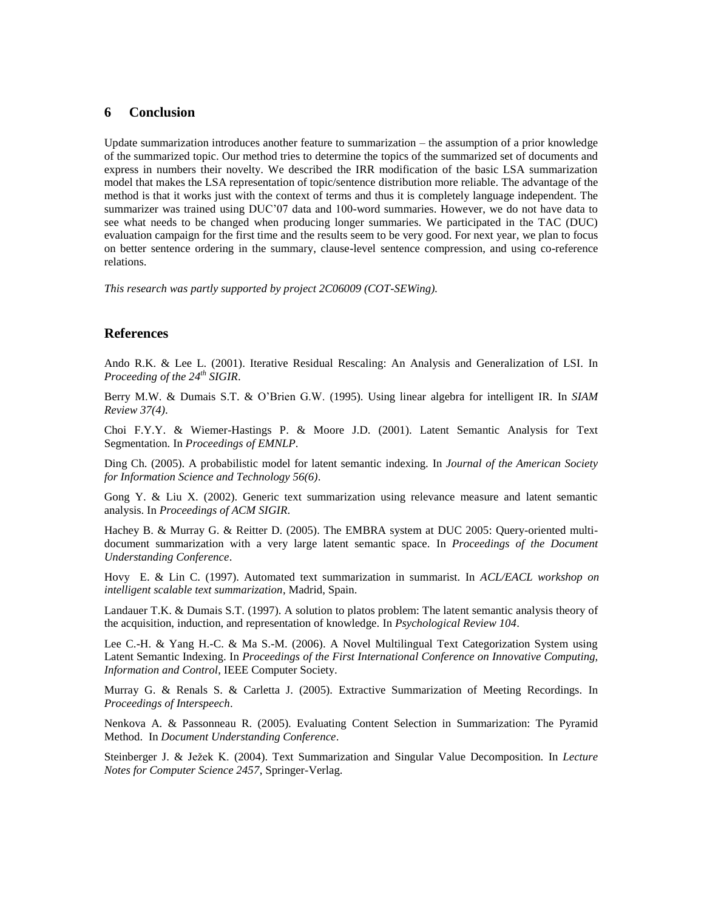## **6 Conclusion**

Update summarization introduces another feature to summarization – the assumption of a prior knowledge of the summarized topic. Our method tries to determine the topics of the summarized set of documents and express in numbers their novelty. We described the IRR modification of the basic LSA summarization model that makes the LSA representation of topic/sentence distribution more reliable. The advantage of the method is that it works just with the context of terms and thus it is completely language independent. The summarizer was trained using DUC'07 data and 100-word summaries. However, we do not have data to see what needs to be changed when producing longer summaries. We participated in the TAC (DUC) evaluation campaign for the first time and the results seem to be very good. For next year, we plan to focus on better sentence ordering in the summary, clause-level sentence compression, and using co-reference relations.

*This research was partly supported by project 2C06009 (COT-SEWing).*

#### **References**

Ando R.K. & Lee L. (2001). Iterative Residual Rescaling: An Analysis and Generalization of LSI. In *Proceeding of the 24th SIGIR*.

Berry M.W. & Dumais S.T. & O"Brien G.W. (1995). Using linear algebra for intelligent IR. In *SIAM Review 37(4)*.

Choi F.Y.Y. & Wiemer-Hastings P. & Moore J.D. (2001). Latent Semantic Analysis for Text Segmentation. In *Proceedings of EMNLP*.

Ding Ch. (2005). A probabilistic model for latent semantic indexing. In *Journal of the American Society for Information Science and Technology 56(6)*.

Gong Y. & Liu X. (2002). Generic text summarization using relevance measure and latent semantic analysis. In *Proceedings of ACM SIGIR*.

Hachey B. & Murray G. & Reitter D. (2005). The EMBRA system at DUC 2005: Query-oriented multidocument summarization with a very large latent semantic space. In *Proceedings of the Document Understanding Conference*.

Hovy E. & Lin C. (1997). Automated text summarization in summarist. In *ACL/EACL workshop on intelligent scalable text summarization*, Madrid, Spain.

Landauer T.K. & Dumais S.T. (1997). A solution to platos problem: The latent semantic analysis theory of the acquisition, induction, and representation of knowledge. In *Psychological Review 104*.

Lee C.-H. & Yang H.-C. & Ma S.-M. (2006). A Novel Multilingual Text Categorization System using Latent Semantic Indexing. In *Proceedings of the First International Conference on Innovative Computing, Information and Control*, IEEE Computer Society.

Murray G. & Renals S. & Carletta J. (2005). Extractive Summarization of Meeting Recordings. In *Proceedings of Interspeech*.

Nenkova A. & Passonneau R. (2005). Evaluating Content Selection in Summarization: The Pyramid Method. In *Document Understanding Conference*.

Steinberger J. & Ježek K. (2004). Text Summarization and Singular Value Decomposition. In *Lecture Notes for Computer Science 2457*, Springer-Verlag.